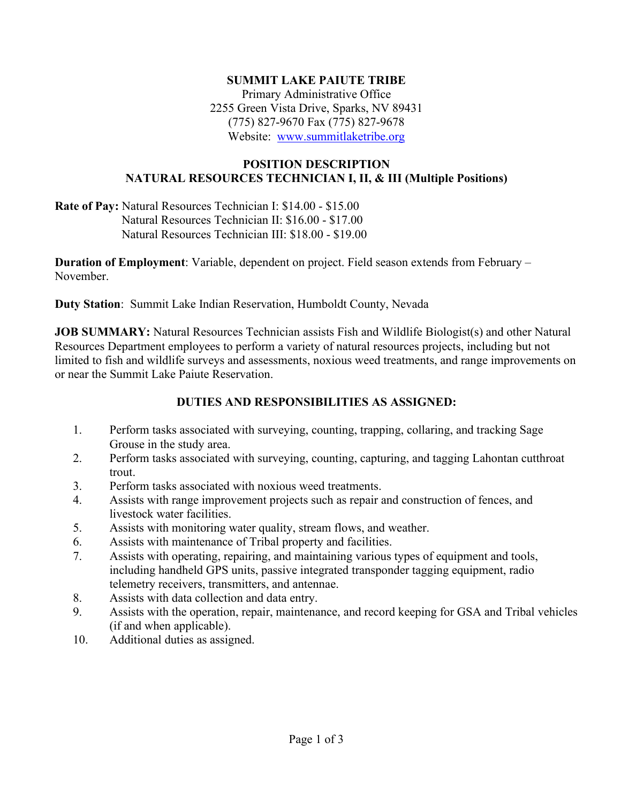#### **SUMMIT LAKE PAIUTE TRIBE**

Primary Administrative Office 2255 Green Vista Drive, Sparks, NV 89431 (775) 827-9670 Fax (775) 827-9678 Website: [www.summitlaketribe.org](http://www.summitlaketribe.org/)

#### **POSITION DESCRIPTION NATURAL RESOURCES TECHNICIAN I, II, & III (Multiple Positions)**

**Rate of Pay:** Natural Resources Technician I: \$14.00 - \$15.00 Natural Resources Technician II: \$16.00 - \$17.00 Natural Resources Technician III: \$18.00 - \$19.00

**Duration of Employment**: Variable, dependent on project. Field season extends from February – November.

**Duty Station**: Summit Lake Indian Reservation, Humboldt County, Nevada

**JOB SUMMARY:** Natural Resources Technician assists Fish and Wildlife Biologist(s) and other Natural Resources Department employees to perform a variety of natural resources projects, including but not limited to fish and wildlife surveys and assessments, noxious weed treatments, and range improvements on or near the Summit Lake Paiute Reservation.

### **DUTIES AND RESPONSIBILITIES AS ASSIGNED:**

- 1. Perform tasks associated with surveying, counting, trapping, collaring, and tracking Sage Grouse in the study area.
- 2. Perform tasks associated with surveying, counting, capturing, and tagging Lahontan cutthroat trout.
- 3. Perform tasks associated with noxious weed treatments.
- 4. Assists with range improvement projects such as repair and construction of fences, and livestock water facilities.
- 5. Assists with monitoring water quality, stream flows, and weather.
- 6. Assists with maintenance of Tribal property and facilities.
- 7. Assists with operating, repairing, and maintaining various types of equipment and tools, including handheld GPS units, passive integrated transponder tagging equipment, radio telemetry receivers, transmitters, and antennae.
- 8. Assists with data collection and data entry.
- 9. Assists with the operation, repair, maintenance, and record keeping for GSA and Tribal vehicles (if and when applicable).
- 10. Additional duties as assigned.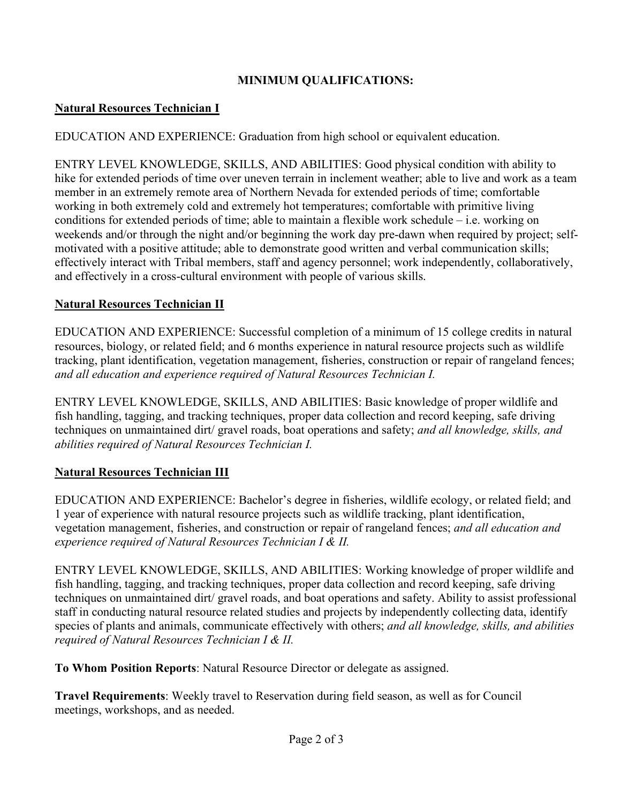# **MINIMUM QUALIFICATIONS:**

## **Natural Resources Technician I**

EDUCATION AND EXPERIENCE: Graduation from high school or equivalent education.

ENTRY LEVEL KNOWLEDGE, SKILLS, AND ABILITIES: Good physical condition with ability to hike for extended periods of time over uneven terrain in inclement weather; able to live and work as a team member in an extremely remote area of Northern Nevada for extended periods of time; comfortable working in both extremely cold and extremely hot temperatures; comfortable with primitive living conditions for extended periods of time; able to maintain a flexible work schedule – i.e. working on weekends and/or through the night and/or beginning the work day pre-dawn when required by project; selfmotivated with a positive attitude; able to demonstrate good written and verbal communication skills; effectively interact with Tribal members, staff and agency personnel; work independently, collaboratively, and effectively in a cross-cultural environment with people of various skills.

## **Natural Resources Technician II**

EDUCATION AND EXPERIENCE: Successful completion of a minimum of 15 college credits in natural resources, biology, or related field; and 6 months experience in natural resource projects such as wildlife tracking, plant identification, vegetation management, fisheries, construction or repair of rangeland fences; *and all education and experience required of Natural Resources Technician I.* 

ENTRY LEVEL KNOWLEDGE, SKILLS, AND ABILITIES: Basic knowledge of proper wildlife and fish handling, tagging, and tracking techniques, proper data collection and record keeping, safe driving techniques on unmaintained dirt/ gravel roads, boat operations and safety; *and all knowledge, skills, and abilities required of Natural Resources Technician I.* 

# **Natural Resources Technician III**

EDUCATION AND EXPERIENCE: Bachelor's degree in fisheries, wildlife ecology, or related field; and 1 year of experience with natural resource projects such as wildlife tracking, plant identification, vegetation management, fisheries, and construction or repair of rangeland fences; *and all education and experience required of Natural Resources Technician I & II.* 

ENTRY LEVEL KNOWLEDGE, SKILLS, AND ABILITIES: Working knowledge of proper wildlife and fish handling, tagging, and tracking techniques, proper data collection and record keeping, safe driving techniques on unmaintained dirt/ gravel roads, and boat operations and safety. Ability to assist professional staff in conducting natural resource related studies and projects by independently collecting data, identify species of plants and animals, communicate effectively with others; *and all knowledge, skills, and abilities required of Natural Resources Technician I & II.* 

**To Whom Position Reports**: Natural Resource Director or delegate as assigned.

**Travel Requirements**: Weekly travel to Reservation during field season, as well as for Council meetings, workshops, and as needed.